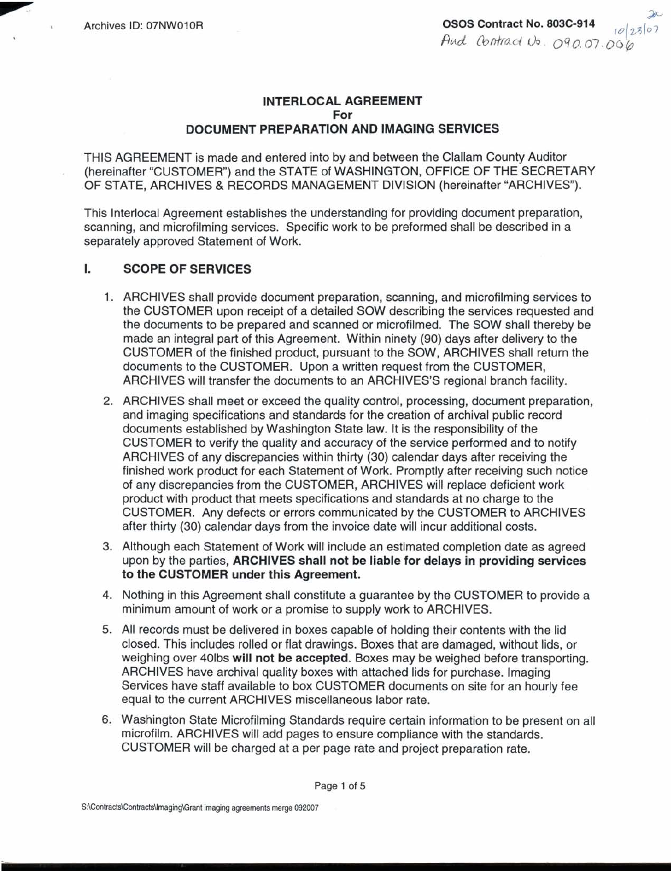# **INTERLOCAL AGREEMENT For DOCUMENT PREPARATION AND IMAGING SERVICES**

THIS AGREEMENT is made and entered into by and between the Clallam County Auditor (hereinafter "CUSTOMER") and the STATE of WASHINGTON, OFFICE OF THE SECRETARY OF STATE, ARCHIVES & RECORDS MANAGEMENT DIVISION (hereinafter "ARCHIVES).

This Interlocal Agreement establishes the understanding for providing document preparation, scanning, and microfilming services. Specific work to be preformed shall be described in a separately approved Statement of Work.

#### L. **SCOPE OF SERVICES**

- **1.** ARCHIVES shall provide document preparation, scanning, and microfilming services to the CUSTOMER upon receipt of a detailed SOW describing the services requested and the documents to be prepared and scanned or microfilmed. The SOW shall thereby be made an integral part of this Agreement. Within ninety (90) days after delivery to the CUSTOMER of the finished product, pursuant to the SOW, ARCHIVES shall return the documents to the CUSTOMER. Upon a written request from the CUSTOMER, ARCHIVES will transfer the documents to an ARCHIVES'S regional branch facility.
- ARCHIVES shall meet or exceed the quality control, processing, document preparation, and imaging specifications and standards for the creation of archival public record documents established by Washington State law. It is the responsibility of the CUSTOMER to verify the quality and accuracy of the service performed and to notify ARCHIVES of any discrepancies within thirty (30) calendar days after receiving the finished work product for each Statement of Work. Promptly after receiving such notice of any discrepancies from the CUSTOMER, ARCHIVES will replace deficient work product with product that meets specifications and standards at no charge to the CUSTOMER. Any defects or errors communicated by the CUSTOMER to ARCHIVES after thirty (30) calendar days from the invoice date will incur additional costs.
- 3. Although each Statement of Work will include an estimated completion date as agreed upon by the parties, **ARCHIVES shall not be liable for delays in providing services to the CUSTOMER under this Agreement.**
- 4. Nothing in this Agreement shall constitute a guarantee by the CUSTOMER to provide a minimum amount of work or a promise to supply work to ARCHIVES.
- 5. All records must be delivered in boxes capable of holding their contents with the lid closed. This includes rolled or flat drawings. Boxes that are damaged, without lids, or weighing over 401bs **will not be accepted.** Boxes may be weighed before transporting. ARCHIVES have archival quality boxes with attached lids for purchase. Imaging Services have staff available to box CUSTOMER documents on site for an hourly fee equal to the current ARCHIVES miscellaneous labor rate.
- **6.** Washington State Microfilming Standards require certain information to be present on all microfilm. ARCHIVES will add pages to ensure compliance with the standards. CUSTOMER will be charged at a per page rate and project preparation rate.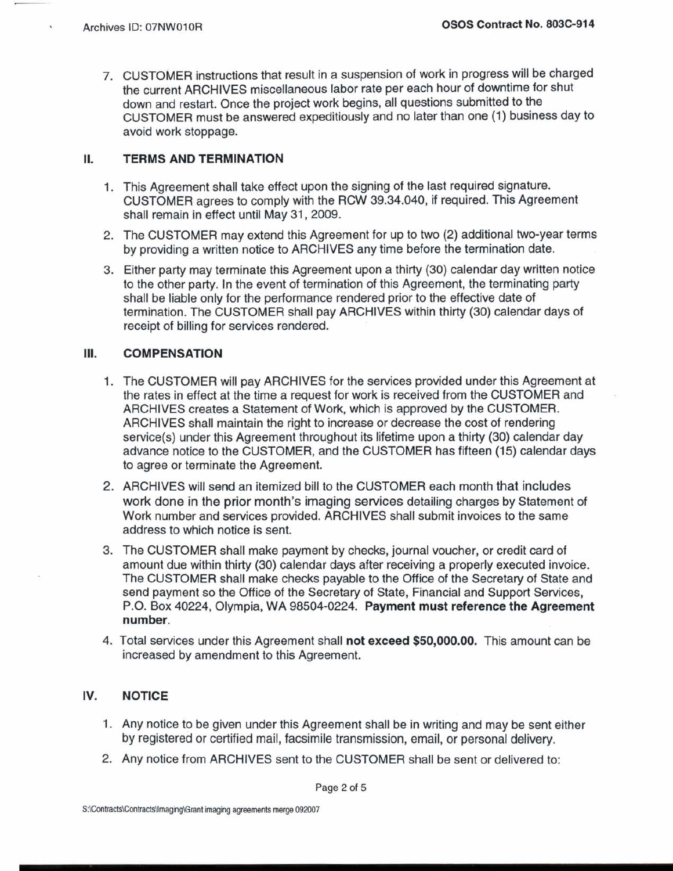7. CUSTOMER instructions that result in a suspension of work in progress will be charged the current ARCHIVES miscellaneous labor rate per each hour of downtime for shut down and restart. Once the project work begins, all questions submitted to the CUSTOMER must be answered expeditiously and no later than one (1) business day to avoid work stoppage.

#### **II. TERMS AND TERMINATION**

- 1. This Agreement shall take effect upon the signing of the last required signature. CUSTOMER agrees to comply with the RCW 39.34.040, if required. This Agreement shall remain in effect until May 31, 2009.
- 2. The CUSTOMER may extend this Agreement for up to two (2) additional two-year terms by providing a written notice to ARCHIVES any time before the termination date.
- 3. Either party may terminate this Agreement upon a thirty (30) calendar day written notice to the other party. In the event of termination of this Agreement, the terminating party shall be liable only for the performance rendered prior to the effective date of termination. The CUSTOMER shall pay ARCHIVES within thirty (30) calendar days of receipt of billing for services rendered.

### Ш. **COMPENSATION**

- 1. The CUSTOMER will pay ARCHIVES for the services provided under this Agreement at the rates in effect at the time a request for work is received from the CUSTOMER and ARCHIVES creates a Statement of Work, which is approved by the CUSTOMER. ARCHIVES shall maintain the right to increase or decrease the cost of rendering service(s) under this Agreement throughout its lifetime upon a thirty (30) calendar day advance notice to the CUSTOMER, and the CUSTOMER has fifteen (15) calendar days to agree or terminate the Agreement.
- 2. ARCHIVES will **send** an itemized bill to the CUSTOMER each month that includes work done in the prior month's imaging services detailing charges by Statement of Work number and services provided. ARCHIVES shall submit invoices to the same address to which notice is sent.
- 3. The CUSTOMER shall make payment by checks, journal voucher, or credit card of amount due within thirty (30) calendar days after receiving a properly executed invoice. The CUSTOMER shall make checks payable to the Office of the Secretary of State and send payment so the Office of the Secretary of State, Financial and Support Services, P.O. Box 40224, Olympia, WA 98504-0224. **Payment must reference the Agreement number.**
- 4. Total services under this Agreement shall **not exceed \$50,000.00.** This amount can be increased by amendment to this Agreement.

### **IV. NOTICE**

- 1. Any notice to be given under this Agreement shall be in writing and may be sent either by registered or certified mail, facsimile transmission, email, or personal delivery.
- 2. Any notice from ARCHIVES sent to the CUSTOMER shall be sent or delivered to: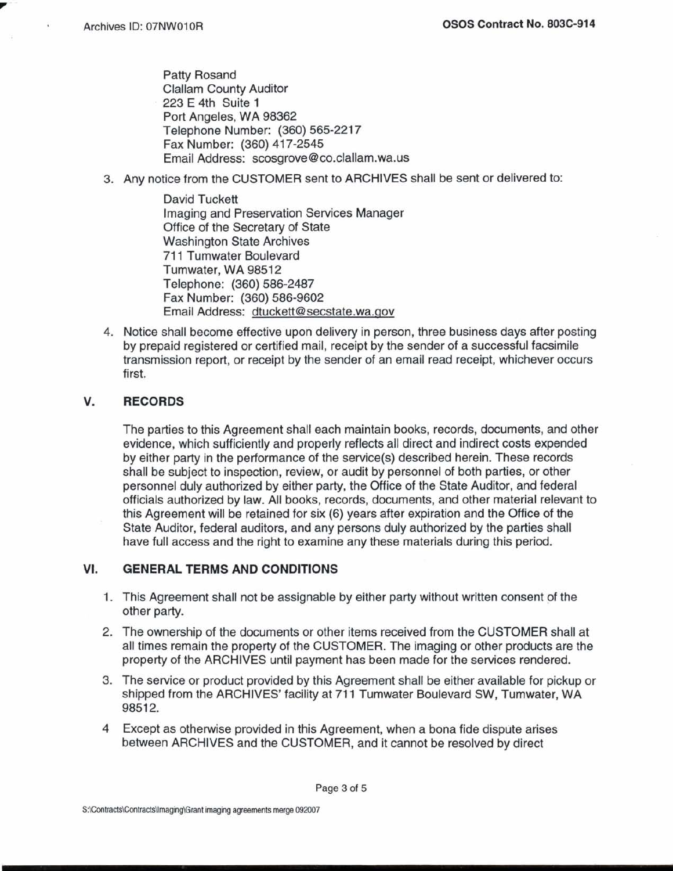Patty Rosand Clallam County Auditor 223 E 4th Suite 1 Port Angeles, WA 98362 Telephone Number: (360) 565-221 7 Fax Number: (360) 417-2545 Email Address: scosgrove @ co.clallam.wa.us

3. Any notice from the CUSTOMER sent to ARCHIVES shall be sent or delivered to:

David Tuckett Imaging and Preservation Services Manager Office of the Secretary of State Washington State Archives 71 1 Tumwater Boulevard Tumwater, WA 98512 Telephone: (360) 586-2487 Fax Number: (360) 586-9602 Email Address: dtuckett@secstate.wa.qov

4. Notice shall become effective upon delivery in person, three business days after posting by prepaid registered or certified mail, receipt by the sender of a successful facsimile transmission report, or receipt by the sender of an email read receipt, whichever occurs first.

## V. **RECORDS**

The parties to this Agreement shall each maintain books, records, documents, and other evidence, which sufficiently and properly reflects all direct and indirect costs expended by either party in the performance of the service(s) described herein. These records shall be subject to inspection, review, or audit by personnel of both parties, or other personnel duly authorized by either party, the Office of the State Auditor, and federal officials authorized by law. All books, records, documents, and other material relevant to this Agreement will be retained for six (6) years after expiration and the Office of the State Auditor, federal auditors, and any persons duly authorized by the parties shall have full access and the right to examine any these materials during this period.

## **VI. GENERAL TERMS AND CONDITIONS**

- 1. This Agreement shall not be assignable by either party without written consent of the other party.
- 2. The ownership of the documents or other items received from the CUSTOMER shall at all times remain the property of the CUSTOMER. The imaging or other products are the property of the ARCHIVES until payment has been made for the services rendered.
- 3. The service or product provided by this Agreement shall be either available for pickup or shipped from the ARCHIVES' facility at 711 Tumwater Boulevard SW, Tumwater, WA 98512.
- **4** Except as otherwise provided in this Agreement, when a bona fide dispute arises between ARCHIVES and the CUSTOMER, and it cannot be resolved by direct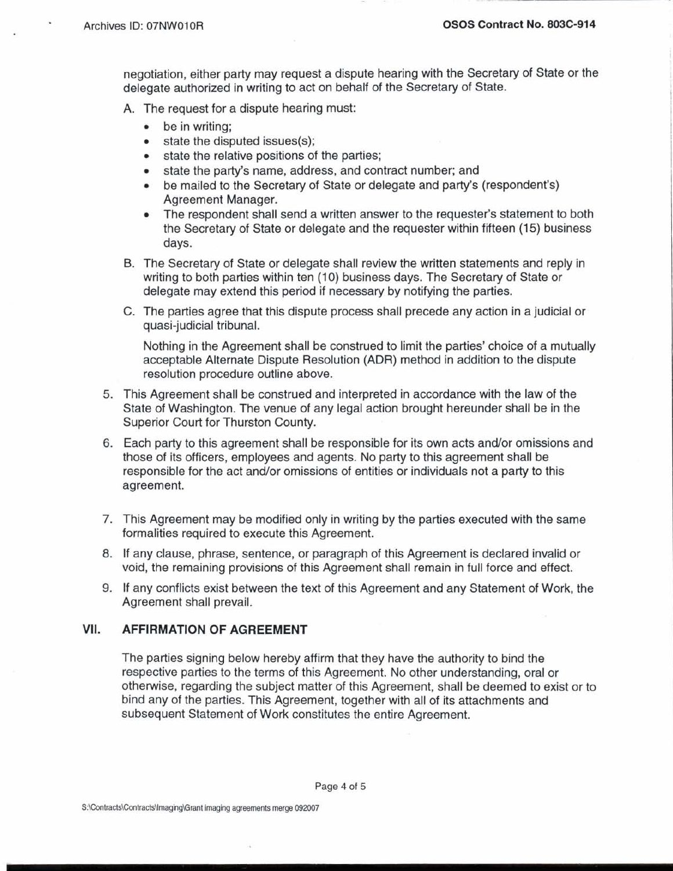negotiation, either party may request a dispute hearing with the Secretary of State or the delegate authorized in writing to act on behalf of the Secretary of State.

- A. The request for a dispute hearing must:
	- be in writing:
	- state the disputed issues(s);
	- state the relative positions of the parties;
	- state the party's name, address, and contract number; and  $\bullet$
	- be mailed to the Secretary of State or delegate and party's (respondent's)  $\bullet$ Agreement Manager.
	- The respondent shall send a written answer to the requester's statement to both  $\bullet$ the Secretary of State or delegate and the requester within fifteen (15) business days.
- B. The Secretary of State or delegate shall review the written statements and reply in writing to both parties within ten (10) business days. The Secretary of State or delegate may extend this period if necessary by notifying the parties.
- C. The parties agree that this dispute process shall precede any action in a judicial or quasi-judicial tribunal.

Nothing in the Agreement shall be construed to limit the parties' choice of a mutually acceptable Alternate Dispute Resolution (ADR) method in addition to the dispute resolution procedure outline above.

- 5. This Agreement shall be construed and interpreted in accordance with the law of the State of Washington. The venue of any legal action brought hereunder shall be in the Superior Court for Thurston County.
- 6. Each party to this agreement shall be responsible for its own acts and/or omissions and those of its officers, employees and agents. No party to this agreement shall be responsible for the act and/or omissions of entities or individuals not a party to this agreement.
- 7. This Agreement may be modified only in writing by the parties executed with the same formalities required to execute this Agreement.
- 8. If any clause, phrase, sentence, or paragraph of this Agreement is declared invalid or void, the remaining provisions of this Agreement shall remain in full force and effect.
- 9. If any conflicts exist between the text of this Agreement and any Statement of Work, the Agreement shall prevail.

#### VII. **AFFIRMATION OF AGREEMENT**

The parties signing below hereby affirm that they have the authority to bind the respective parties to the terms of this Agreement. No other understanding, oral or otherwise, regarding the subject matter of this Agreement, shall be deemed to exist or to bind any of the parties. This Agreement, together with all of its attachments and subsequent Statement of Work constitutes the entire Agreement.